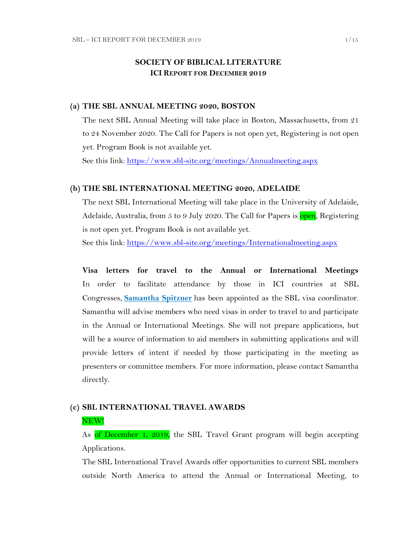# **SOCIETY OF BIBLICAL LITERATURE ICI REPORT FOR DECEMBER 2019**

#### **(a) THE SBL ANNUAL MEETING 2020, BOSTON**

The next SBL Annual Meeting will take place in Boston, Massachusetts, from 21 to 24 November 2020. The Call for Papers is not open yet, Registering is not open yet. Program Book is not available yet.

See this link:<https://www.sbl-site.org/meetings/Annualmeeting.aspx>

#### **(b) THE SBL INTERNATIONAL MEETING 2020, ADELAIDE**

The next SBL International Meeting will take place in the University of Adelaide, Adelaide, Australia, from 5 to 9 July 2020. The Call for Papers is open, Registering is not open yet. Program Book is not available yet.

See this link:<https://www.sbl-site.org/meetings/Internationalmeeting.aspx>

**Visa letters for travel to the Annual or International Meetings** In order to facilitate attendance by those in ICI countries at SBL Congresses, **[Samantha Spitzner](mailto:samantha.spitzner@sbl-site.org)** has been appointed as the SBL visa coordinator. Samantha will advise members who need visas in order to travel to and participate in the Annual or International Meetings. She will not prepare applications, but will be a source of information to aid members in submitting applications and will provide letters of intent if needed by those participating in the meeting as presenters or committee members. For more information, please contact Samantha directly.

# **(c) SBL INTERNATIONAL TRAVEL AWARDS**

#### NEW!

As of December 1, 2019, the SBL Travel Grant program will begin accepting Applications.

The SBL International Travel Awards offer opportunities to current SBL members outside North America to attend the Annual or International Meeting, to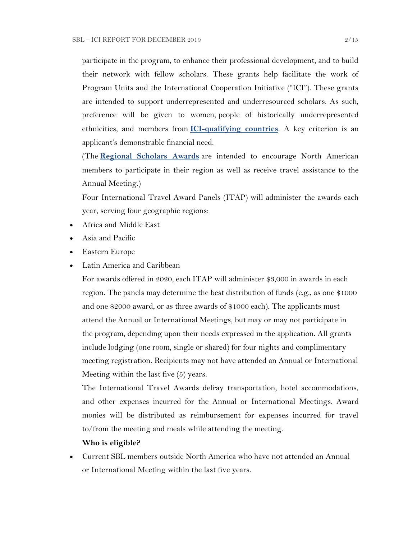participate in the program, to enhance their professional development, and to build their network with fellow scholars. These grants help facilitate the work of Program Units and the International Cooperation Initiative ("ICI"). These grants are intended to support underrepresented and underresourced scholars. As such, preference will be given to women, people of historically underrepresented ethnicities, and members from **[ICI-qualifying countries](https://www.sbl-site.org/assets/pdfs/ICIcountries.pdf)**. A key criterion is an applicant's demonstrable financial need.

(The **[Regional Scholars Awards](https://www.sbl-site.org/meetings/regionalscholars.aspx)** are intended to encourage North American members to participate in their region as well as receive travel assistance to the Annual Meeting.)

Four International Travel Award Panels (ITAP) will administer the awards each year, serving four geographic regions:

- Africa and Middle East
- Asia and Pacific
- Eastern Europe
- Latin America and Caribbean

For awards offered in 2020, each ITAP will administer \$3,000 in awards in each region. The panels may determine the best distribution of funds (e.g., as one \$1000 and one \$2000 award, or as three awards of \$1000 each). The applicants must attend the Annual or International Meetings, but may or may not participate in the program, depending upon their needs expressed in the application. All grants include lodging (one room, single or shared) for four nights and complimentary meeting registration. Recipients may not have attended an Annual or International Meeting within the last five (5) years.

The International Travel Awards defray transportation, hotel accommodations, and other expenses incurred for the Annual or International Meetings. Award monies will be distributed as reimbursement for expenses incurred for travel to/from the meeting and meals while attending the meeting.

#### **Who is eligible?**

 Current SBL members outside North America who have not attended an Annual or International Meeting within the last five years.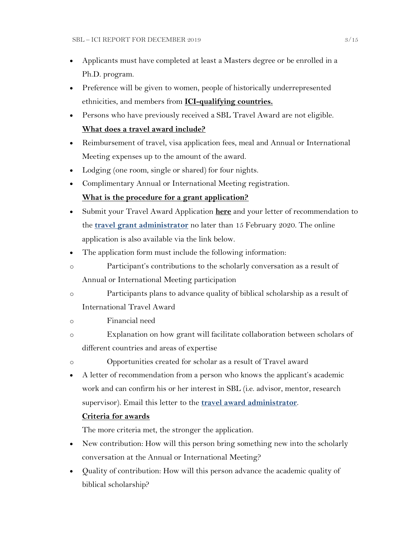- Applicants must have completed at least a Masters degree or be enrolled in a Ph.D. program.
- Preference will be given to women, people of historically underrepresented ethnicities, and members from **[ICI-qualifying countries.](https://www.sbl-site.org/assets/pdfs/ICIcountries.pdf)**
- Persons who have previously received a SBL Travel Award are not eligible. **What does a travel award include?**
- Reimbursement of travel, visa application fees, meal and Annual or International Meeting expenses up to the amount of the award.
- Lodging (one room, single or shared) for four nights.
- Complimentary Annual or International Meeting registration.

## **What is the procedure for a grant application?**

- Submit your Travel Award Application **[here](https://www.surveymonkey.com/r/MWZNX58)** and your letter of recommendation to the **[travel grant administrator](mailto:sbltravelgrant@sbl-site.org)** no later than 15 February 2020. The online application is also available via the link below.
- The application form must include the following information:
- o Participant's contributions to the scholarly conversation as a result of Annual or International Meeting participation
- o Participants plans to advance quality of biblical scholarship as a result of International Travel Award
- o Financial need
- o Explanation on how grant will facilitate collaboration between scholars of different countries and areas of expertise
- o Opportunities created for scholar as a result of Travel award
- A letter of recommendation from a person who knows the applicant's academic work and can confirm his or her interest in SBL (i.e. advisor, mentor, research supervisor). Email this letter to the **[travel award administrator](mailto:sbltravelgrant@sbl-site.org)**.

## **Criteria for awards**

The more criteria met, the stronger the application.

- New contribution: How will this person bring something new into the scholarly conversation at the Annual or International Meeting?
- Quality of contribution: How will this person advance the academic quality of biblical scholarship?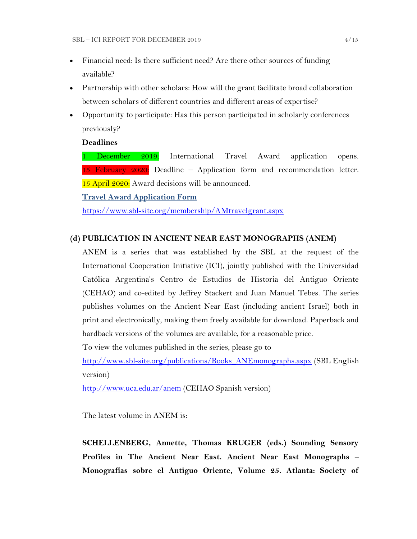- Financial need: Is there sufficient need? Are there other sources of funding available?
- Partnership with other scholars: How will the grant facilitate broad collaboration between scholars of different countries and different areas of expertise?
- Opportunity to participate: Has this person participated in scholarly conferences previously?

#### **Deadlines**

1 December 2019: International Travel Award application opens. 15 February  $2020$ : Deadline – Application form and recommendation letter. 15 April 2020: Award decisions will be announced.

**[Travel Award Application Form](https://www.surveymonkey.com/r/MWZNX58)**

<https://www.sbl-site.org/membership/AMtravelgrant.aspx>

#### **(d) PUBLICATION IN [ANCIENT NEAR EAST MONOGRAPHS](http://www.sbl-site.org/publications/Books_ANEmonographs.aspx) (ANEM)**

ANEM is a series that was established by the SBL at the request of the International Cooperation Initiative (ICI), jointly published with the Universidad Católica Argentina's Centro de Estudios de Historia del Antiguo Oriente (CEHAO) and co-edited by Jeffrey Stackert and Juan Manuel Tebes. The series publishes volumes on the Ancient Near East (including ancient Israel) both in print and electronically, making them freely available for download. Paperback and hardback versions of the volumes are available, for a reasonable price.

To view the volumes published in the series, please go to

[http://www.sbl-site.org/publications/Books\\_ANEmonographs.aspx](http://www.sbl-site.org/publications/Books_ANEmonographs.aspx) (SBL English version)

<http://www.uca.edu.ar/anem> (CEHAO Spanish version)

The latest volume in ANEM is:

**SCHELLENBERG, Annette, Thomas KRUGER (eds.) Sounding Sensory Profiles in The Ancient Near East. Ancient Near East Monographs – Monografías sobre el Antiguo Oriente, Volume 25. Atlanta: Society of**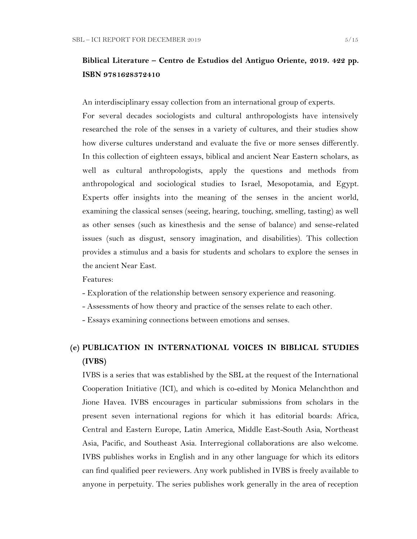# **Biblical Literature – Centro de Estudios del Antiguo Oriente, 2019. 422 pp. ISBN 9781628372410**

An interdisciplinary essay collection from an international group of experts.

For several decades sociologists and cultural anthropologists have intensively researched the role of the senses in a variety of cultures, and their studies show how diverse cultures understand and evaluate the five or more senses differently. In this collection of eighteen essays, biblical and ancient Near Eastern scholars, as well as cultural anthropologists, apply the questions and methods from anthropological and sociological studies to Israel, Mesopotamia, and Egypt. Experts offer insights into the meaning of the senses in the ancient world, examining the classical senses (seeing, hearing, touching, smelling, tasting) as well as other senses (such as kinesthesis and the sense of balance) and sense-related issues (such as disgust, sensory imagination, and disabilities). This collection provides a stimulus and a basis for students and scholars to explore the senses in the ancient Near East.

Features:

- Exploration of the relationship between sensory experience and reasoning.
- Assessments of how theory and practice of the senses relate to each other.
- Essays examining connections between emotions and senses.

# **(e) PUBLICATION IN INTERNATIONAL VOICES IN BIBLICAL STUDIES (IVBS)**

IVBS is a series that was established by the SBL at the request of the International Cooperation Initiative (ICI), and which is co-edited by Monica Melanchthon and Jione Havea. IVBS encourages in particular submissions from scholars in the present seven international regions for which it has editorial boards: Africa, Central and Eastern Europe, Latin America, Middle East-South Asia, Northeast Asia, Pacific, and Southeast Asia. Interregional collaborations are also welcome. IVBS publishes works in English and in any other language for which its editors can find qualified peer reviewers. Any work published in IVBS is freely available to anyone in perpetuity. The series publishes work generally in the area of reception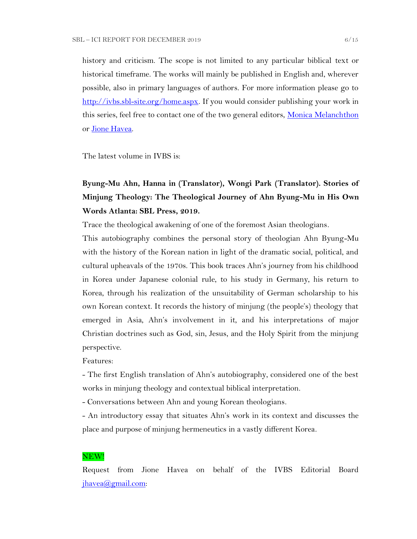history and criticism. The scope is not limited to any particular biblical text or historical timeframe. The works will mainly be published in English and, wherever possible, also in primary languages of authors. For more information please go to [http://ivbs.sbl-site.org/home.aspx.](http://ivbs.sbl-site.org/home.aspx) If you would consider publishing your work in this series, feel free to contact one of the two general editors, *Monica Melanchthon* or [Jione Havea.](mailto:jioneh@nsw.uca.org.au)

The latest volume in IVBS is:

# **Byung-Mu Ahn, Hanna in (Translator), Wongi Park (Translator). Stories of Minjung Theology: The Theological Journey of Ahn Byung-Mu in His Own Words Atlanta: SBL Press, 2019.**

Trace the theological awakening of one of the foremost Asian theologians.

This autobiography combines the personal story of theologian Ahn Byung-Mu with the history of the Korean nation in light of the dramatic social, political, and cultural upheavals of the 1970s. This book traces Ahn's journey from his childhood in Korea under Japanese colonial rule, to his study in Germany, his return to Korea, through his realization of the unsuitability of German scholarship to his own Korean context. It records the history of minjung (the people's) theology that emerged in Asia, Ahn's involvement in it, and his interpretations of major Christian doctrines such as God, sin, Jesus, and the Holy Spirit from the minjung perspective.

Features:

- The first English translation of Ahn's autobiography, considered one of the best works in minjung theology and contextual biblical interpretation.

- Conversations between Ahn and young Korean theologians.

- An introductory essay that situates Ahn's work in its context and discusses the place and purpose of minjung hermeneutics in a vastly different Korea.

#### NEW!

Request from Jione Havea on behalf of the IVBS Editorial Board  $jhavea@gmail.com$ :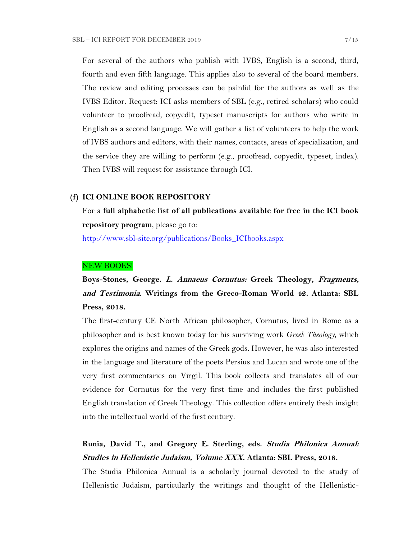For several of the authors who publish with IVBS, English is a second, third, fourth and even fifth language. This applies also to several of the board members. The review and editing processes can be painful for the authors as well as the IVBS Editor. Request: ICI asks members of SBL (e.g., retired scholars) who could volunteer to proofread, copyedit, typeset manuscripts for authors who write in English as a second language. We will gather a list of volunteers to help the work of IVBS authors and editors, with their names, contacts, areas of specialization, and the service they are willing to perform (e.g., proofread, copyedit, typeset, index). Then IVBS will request for assistance through ICI.

#### **(f) ICI ONLINE BOOK REPOSITORY**

For a **full alphabetic list of all publications available for free in the ICI book repository program**, please go to:

[http://www.sbl-site.org/publications/Books\\_ICIbooks.aspx](http://www.sbl-site.org/publications/Books_ICIbooks.aspx)

#### NEW BOOKS!

**Boys-Stones, George. L. Annaeus Cornutus: Greek Theology, Fragments, and Testimonia. Writings from the Greco-Roman World 42. Atlanta: SBL Press, 2018.**

The first-century CE North African philosopher, Cornutus, lived in Rome as a philosopher and is best known today for his surviving work *Greek Theology*, which explores the origins and names of the Greek gods. However, he was also interested in the language and literature of the poets Persius and Lucan and wrote one of the very first commentaries on Virgil. This book collects and translates all of our evidence for Cornutus for the very first time and includes the first published English translation of Greek Theology. This collection offers entirely fresh insight into the intellectual world of the first century.

# **Runia, David T., and Gregory E. Sterling, eds. Studia Philonica Annual: Studies in Hellenistic Judaism, Volume XXX. Atlanta: SBL Press, 2018.**

The Studia Philonica Annual is a scholarly journal devoted to the study of Hellenistic Judaism, particularly the writings and thought of the Hellenistic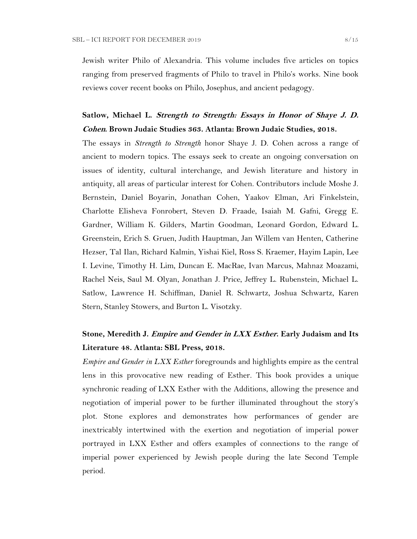Jewish writer Philo of Alexandria. This volume includes five articles on topics ranging from preserved fragments of Philo to travel in Philo's works. Nine book reviews cover recent books on Philo, Josephus, and ancient pedagogy.

# **Satlow, Michael L. Strength to Strength: Essays in Honor of Shaye J. D. Cohen. Brown Judaic Studies 363. Atlanta: Brown Judaic Studies, 2018.**

The essays in *Strength to Strength* honor Shaye J. D. Cohen across a range of ancient to modern topics. The essays seek to create an ongoing conversation on issues of identity, cultural interchange, and Jewish literature and history in antiquity, all areas of particular interest for Cohen. Contributors include Moshe J. Bernstein, Daniel Boyarin, Jonathan Cohen, Yaakov Elman, Ari Finkelstein, Charlotte Elisheva Fonrobert, Steven D. Fraade, Isaiah M. Gafni, Gregg E. Gardner, William K. Gilders, Martin Goodman, Leonard Gordon, Edward L. Greenstein, Erich S. Gruen, Judith Hauptman, Jan Willem van Henten, Catherine Hezser, Tal Ilan, Richard Kalmin, Yishai Kiel, Ross S. Kraemer, Hayim Lapin, Lee I. Levine, Timothy H. Lim, Duncan E. MacRae, Ivan Marcus, Mahnaz Moazami, Rachel Neis, Saul M. Olyan, Jonathan J. Price, Jeffrey L. Rubenstein, Michael L. Satlow, Lawrence H. Schiffman, Daniel R. Schwartz, Joshua Schwartz, Karen Stern, Stanley Stowers, and Burton L. Visotzky.

# **Stone, Meredith J. Empire and Gender in LXX Esther. Early Judaism and Its Literature 48. Atlanta: SBL Press, 2018.**

*Empire and Gender in LXX Esther* foregrounds and highlights empire as the central lens in this provocative new reading of Esther. This book provides a unique synchronic reading of LXX Esther with the Additions, allowing the presence and negotiation of imperial power to be further illuminated throughout the story's plot. Stone explores and demonstrates how performances of gender are inextricably intertwined with the exertion and negotiation of imperial power portrayed in LXX Esther and offers examples of connections to the range of imperial power experienced by Jewish people during the late Second Temple period.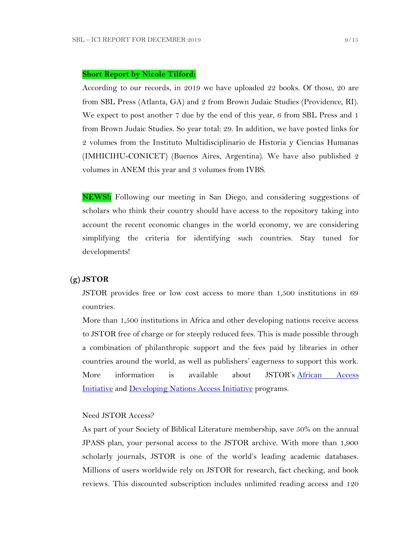#### **Short Report by Nicole Tilford:**

According to our records, in 2019 we have uploaded 22 books. Of those, 20 are from SBL Press (Atlanta, GA) and 2 from Brown Judaic Studies (Providence, RI). We expect to post another 7 due by the end of this year, 6 from SBL Press and 1 from Brown Judaic Studies. So year total: 29. In addition, we have posted links for 2 volumes from the Instituto Multidisciplinario de Historia y Ciencias Humanas (IMHICIHU-CONICET) (Buenos Aires, Argentina). We have also published 2 volumes in ANEM this year and 3 volumes from IVBS.

**NEWS!:** Following our meeting in San Diego, and considering suggestions of scholars who think their country should have access to the repository taking into account the recent economic changes in the world economy, we are considering simplifying the criteria for identifying such countries. Stay tuned for developments!

#### **(g) JSTOR**

JSTOR provides free or low cost access to more than 1,500 institutions in 69 countries.

More than 1,500 institutions in Africa and other developing nations receive access to JSTOR free of charge or for steeply reduced fees. This is made possible through a combination of philanthropic support and the fees paid by libraries in other countries around the world, as well as publishers' eagerness to support this work. More information is available about JSTOR's [African Access](http://about.jstor.org/libraries/african-access-initiative)  [Initiative](http://about.jstor.org/libraries/african-access-initiative) and [Developing Nations Access Initiative](http://about.jstor.org/libraries/developing-nations-access-initiative) programs.

### Need JSTOR Access?

As part of your Society of Biblical Literature membership, save 50% on the annual JPASS plan, your personal access to the JSTOR archive. With more than 1,900 scholarly journals, JSTOR is one of the world's leading academic databases. Millions of users worldwide rely on JSTOR for research, fact checking, and book reviews. This discounted subscription includes unlimited reading access and 120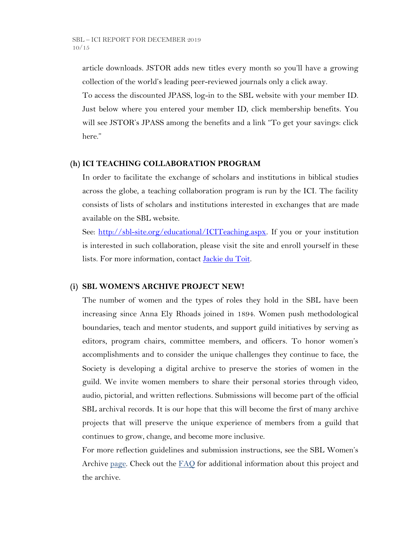article downloads. JSTOR adds new titles every month so you'll have a growing collection of the world's leading peer-reviewed journals only a click away.

To access the discounted JPASS, log-in to the SBL website with your member ID. Just below where you entered your member ID, click membership benefits. You will see JSTOR's JPASS among the benefits and a link "To get your savings: click here."

### **(h) ICI TEACHING COLLABORATION PROGRAM**

In order to facilitate the exchange of scholars and institutions in biblical studies across the globe, a teaching collaboration program is run by the ICI. The facility consists of lists of scholars and institutions interested in exchanges that are made available on the SBL website.

See: [http://sbl-site.org/educational/ICITeaching.aspx.](http://sbl-site.org/educational/ICITeaching.aspx) If you or your institution is interested in such collaboration, please visit the site and enroll yourself in these lists. For more information, contact [Jackie du Toit.](mailto:dutoitjs@ufs.ac.za)

## **(i) SBL WOMEN'S ARCHIVE PROJECT NEW!**

The number of women and the types of roles they hold in the SBL have been increasing since Anna Ely Rhoads joined in 1894. Women push methodological boundaries, teach and mentor students, and support guild initiatives by serving as editors, program chairs, committee members, and officers. To honor women's accomplishments and to consider the unique challenges they continue to face, the Society is developing a digital archive to preserve the stories of women in the guild. We invite women members to share their personal stories through video, audio, pictorial, and written reflections. Submissions will become part of the official SBL archival records. It is our hope that this will become the first of many archive projects that will preserve the unique experience of members from a guild that continues to grow, change, and become more inclusive.

For more reflection guidelines and submission instructions, see the SBL Women's Archive [page.](https://nam04.safelinks.protection.outlook.com/?url=http%3A%2F%2Fr20.rs6.net%2Ftn.jsp%3Ff%3D001UxB5SQIuVUKz9COuM3IsPWnWKqoK39z2VG4xqTm8KZlA_ZE17Z7Fa2PmCgTjMMxZJIpcAIjlvUF-irxd2rwYbEMLTrV0K_WM51IpZKkkhMDgd8_9aVPRw3rlId_KW8E944PO6OC3qczzRWSY7H-TuxvuErx13KKirGuJ38oWvop66nka2FiuLpzq0iT-us5e%26c%3DQ2tCZ6oCYeHLWgeasA7YFffpqmCkeEopn2jFFHww1HRSHdGZkow9Cg%3D%3D%26ch%3Dndma_uDxhxPhjRABmkw-gBQiRkfwAotBZK8Ps3z0wu4oDwHg9u9sLg%3D%3D&data=02%7C01%7CWALFORD_ND%40mercer.edu%7Cf513cd74ff8548bede3608d6b5da7f75%7C4fb34d2889b247109bcc30824d17fc30%7C0%7C0%7C636896347381808305&sdata=tiSsidRd6oL6K11UbD%2BSSPY7fRIjvdDnpsEU3BWCZRg%3D&reserved=0) Check out the  $FAQ$  for additional information about this project and the archive.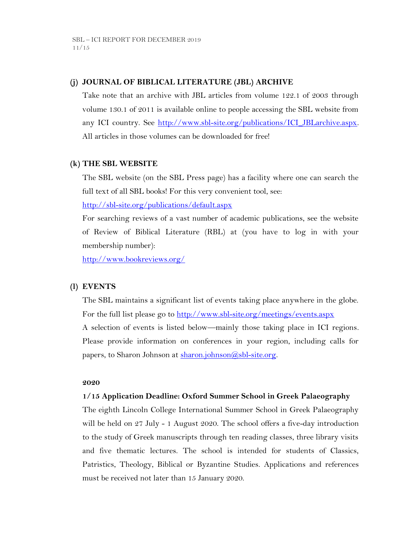## **(j) JOURNAL OF BIBLICAL LITERATURE (JBL) ARCHIVE**

Take note that an archive with JBL articles from volume 122.1 of 2003 through volume 130.1 of 2011 is available online to people accessing the SBL website from any ICI country. See http://www.sbl-site.org/publications/ICI\_JBLarchive.aspx. All articles in those volumes can be downloaded for free!

### **(k) THE SBL WEBSITE**

The SBL website (on the SBL Press page) has a facility where one can search the full text of all SBL books! For this very convenient tool, see:

<http://sbl-site.org/publications/default.aspx>

For searching reviews of a vast number of academic publications, see the website of Review of Biblical Literature (RBL) at (you have to log in with your membership number):

<http://www.bookreviews.org/>

### **(l) EVENTS**

The SBL maintains a significant list of events taking place anywhere in the globe. For the full list please go to<http://www.sbl-site.org/meetings/events.aspx> A selection of events is listed below—mainly those taking place in ICI regions. Please provide information on conferences in your region, including calls for papers, to Sharon Johnson at [sharon.johnson@sbl-site.org.](mailto:sharon.johnson@sbl-site.org)

#### **2020**

### **1/15 Application Deadline: Oxford Summer School in Greek Palaeography**

The eighth Lincoln College International Summer School in Greek Palaeography will be held on 27 July - 1 August 2020. The school offers a five-day introduction to the study of Greek manuscripts through ten reading classes, three library visits and five thematic lectures. The school is intended for students of Classics, Patristics, Theology, Biblical or Byzantine Studies. Applications and references must be received not later than 15 January 2020.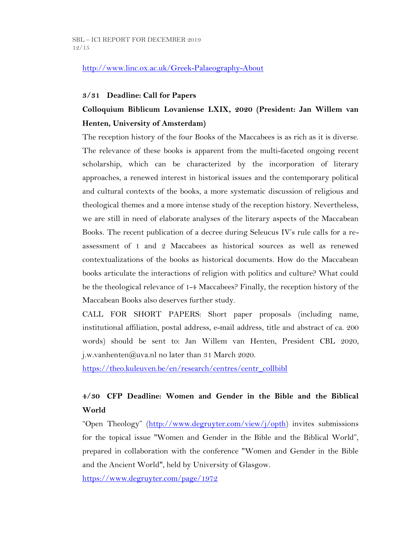## <http://www.linc.ox.ac.uk/Greek-Palaeography-About>

#### **3/31 Deadline: Call for Papers**

# **Colloquium Biblicum Lovaniense LXIX, 2020 (President: Jan Willem van Henten, University of Amsterdam)**

The reception history of the four Books of the Maccabees is as rich as it is diverse. The relevance of these books is apparent from the multi-faceted ongoing recent scholarship, which can be characterized by the incorporation of literary approaches, a renewed interest in historical issues and the contemporary political and cultural contexts of the books, a more systematic discussion of religious and theological themes and a more intense study of the reception history. Nevertheless, we are still in need of elaborate analyses of the literary aspects of the Maccabean Books. The recent publication of a decree during Seleucus IV's rule calls for a reassessment of 1 and 2 Maccabees as historical sources as well as renewed contextualizations of the books as historical documents. How do the Maccabean books articulate the interactions of religion with politics and culture? What could be the theological relevance of 1-4 Maccabees? Finally, the reception history of the Maccabean Books also deserves further study.

CALL FOR SHORT PAPERS: Short paper proposals (including name, institutional affiliation, postal address, e-mail address, title and abstract of ca. 200 words) should be sent to: Jan Willem van Henten, President CBL 2020, j.w.vanhenten@uva.nl no later than 31 March 2020.

[https://theo.kuleuven.be/en/research/centres/centr\\_collbibl](https://theo.kuleuven.be/en/research/centres/centr_collbibl)

# **4/30 CFP Deadline: Women and Gender in the Bible and the Biblical World**

"Open Theology" ([http://www.degruyter.com/view/j/opth\)](http://www.degruyter.com/view/j/opth) invites submissions for the topical issue "Women and Gender in the Bible and the Biblical World", prepared in collaboration with the conference "Women and Gender in the Bible and the Ancient World", held by University of Glasgow.

<https://www.degruyter.com/page/1972>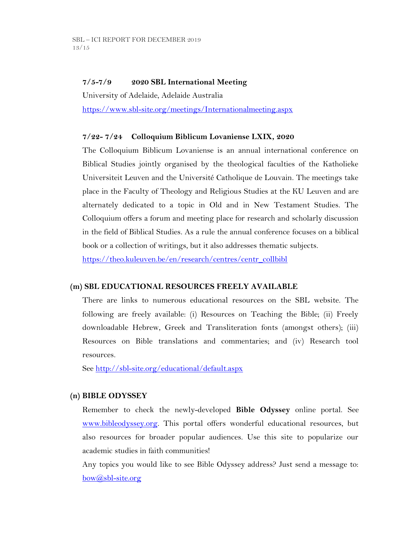## **7/5-7/9 2020 SBL International Meeting**

University of Adelaide, Adelaide Australia <https://www.sbl-site.org/meetings/Internationalmeeting.aspx>

## **7/22- 7/24 Colloquium Biblicum Lovaniense LXIX, 2020**

The Colloquium Biblicum Lovaniense is an annual international conference on Biblical Studies jointly organised by the theological faculties of the Katholieke Universiteit Leuven and the Université Catholique de Louvain. The meetings take place in the Faculty of Theology and Religious Studies at the KU Leuven and are alternately dedicated to a topic in Old and in New Testament Studies. The Colloquium offers a forum and meeting place for research and scholarly discussion in the field of Biblical Studies. As a rule the annual conference focuses on a biblical book or a collection of writings, but it also addresses thematic subjects. [https://theo.kuleuven.be/en/research/centres/centr\\_collbibl](https://theo.kuleuven.be/en/research/centres/centr_collbibl)

### **(m) SBL EDUCATIONAL RESOURCES FREELY AVAILABLE**

There are links to numerous educational resources on the SBL website. The following are freely available: (i) Resources on Teaching the Bible; (ii) Freely downloadable Hebrew, Greek and Transliteration fonts (amongst others); (iii) Resources on Bible translations and commentaries; and (iv) Research tool resources.

See<http://sbl-site.org/educational/default.aspx>

### **(n) BIBLE ODYSSEY**

Remember to check the newly-developed **Bible Odyssey** online portal. See [www.bibleodyssey.org.](http://www.bibleodyssey.org/) This portal offers wonderful educational resources, but also resources for broader popular audiences. Use this site to popularize our academic studies in faith communities!

Any topics you would like to see Bible Odyssey address? Just send a message to: [bow@sbl-site.org](mailto:bow@sbl-site.org)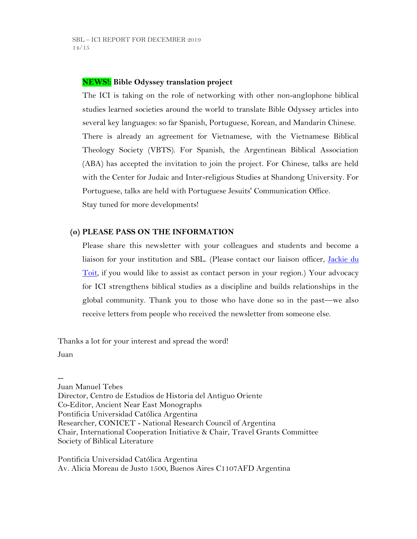## **NEWS!: Bible Odyssey translation project**

The ICI is taking on the role of networking with other non-anglophone biblical studies learned societies around the world to translate Bible Odyssey articles into several key languages: so far Spanish, Portuguese, Korean, and Mandarin Chinese. There is already an agreement for Vietnamese, with the Vietnamese Biblical Theology Society (VBTS). For Spanish, the Argentinean Biblical Association (ABA) has accepted the invitation to join the project. For Chinese, talks are held with the Center for Judaic and Inter-religious Studies at Shandong University. For Portuguese, talks are held with Portuguese Jesuits' Communication Office. Stay tuned for more developments!

### **(o) PLEASE PASS ON THE INFORMATION**

Please share this newsletter with your colleagues and students and become a liaison for your institution and SBL. (Please contact our liaison officer, [Jackie du](mailto:dutoitjs@ufs.ac.za)  [Toit,](mailto:dutoitjs@ufs.ac.za) if you would like to assist as contact person in your region.) Your advocacy for ICI strengthens biblical studies as a discipline and builds relationships in the global community. Thank you to those who have done so in the past—we also receive letters from people who received the newsletter from someone else.

Thanks a lot for your interest and spread the word!

Juan

-- Juan Manuel Tebes Director, Centro de Estudios de Historia del Antiguo Oriente Co-Editor, Ancient Near East Monographs Pontificia Universidad Católica Argentina Researcher, CONICET - National Research Council of Argentina Chair, International Cooperation Initiative & Chair, Travel Grants Committee Society of Biblical Literature

Pontificia Universidad Católica Argentina Av. Alicia Moreau de Justo 1500, Buenos Aires C1107AFD Argentina